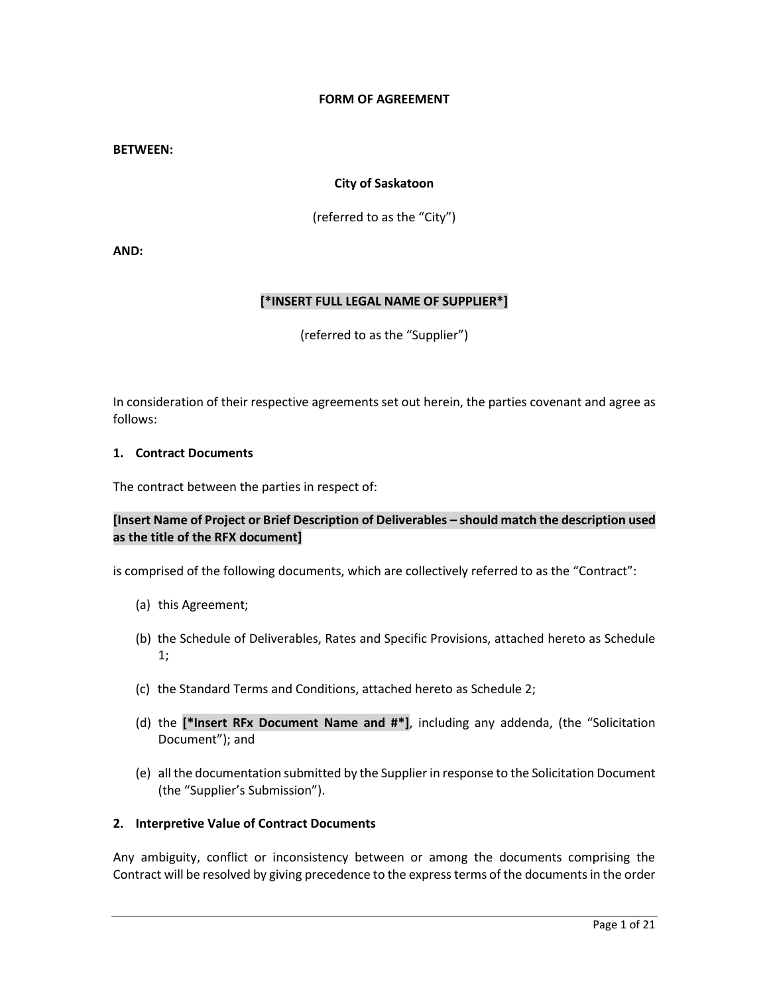## **FORM OF AGREEMENT**

#### **BETWEEN:**

### **City of Saskatoon**

(referred to as the "City")

**AND:**

### **[\*INSERT FULL LEGAL NAME OF SUPPLIER\*]**

(referred to as the "Supplier")

In consideration of their respective agreements set out herein, the parties covenant and agree as follows:

### **1. Contract Documents**

The contract between the parties in respect of:

## **[Insert Name of Project or Brief Description of Deliverables – should match the description used as the title of the RFX document]**

is comprised of the following documents, which are collectively referred to as the "Contract":

- (a) this Agreement;
- (b) the Schedule of Deliverables, Rates and Specific Provisions, attached hereto as Schedule 1;
- (c) the Standard Terms and Conditions, attached hereto as Schedule 2;
- (d) the **[\*Insert RFx Document Name and #\*]**, including any addenda, (the "Solicitation Document"); and
- (e) all the documentation submitted by the Supplier in response to the Solicitation Document (the "Supplier's Submission").

## **2. Interpretive Value of Contract Documents**

Any ambiguity, conflict or inconsistency between or among the documents comprising the Contract will be resolved by giving precedence to the express terms of the documents in the order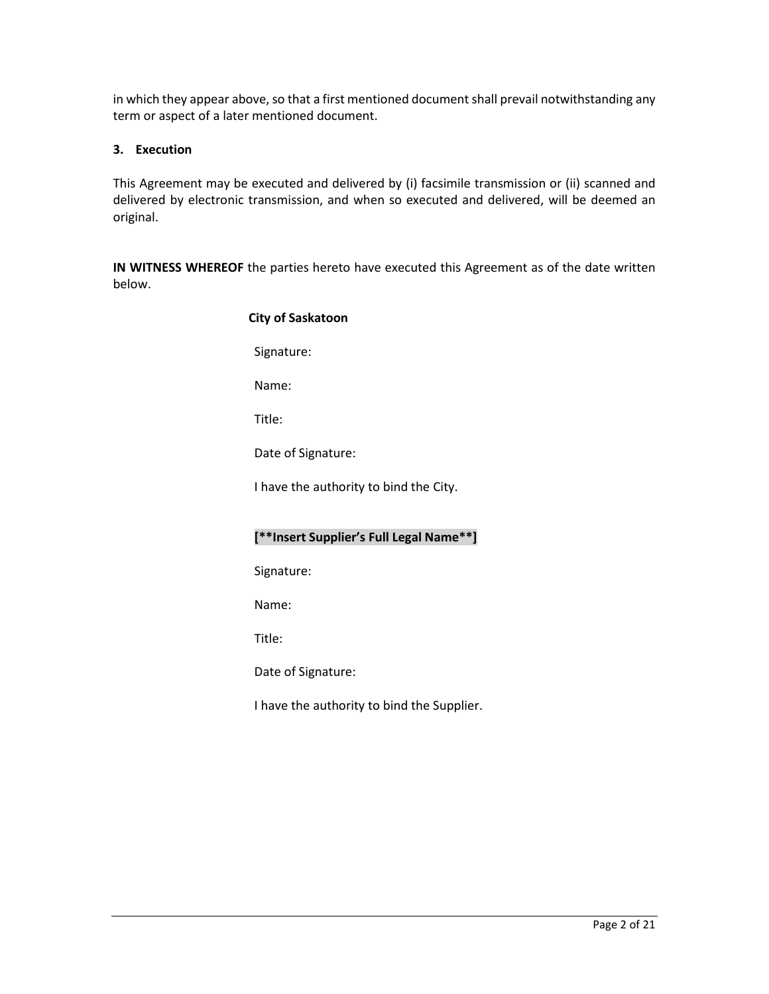in which they appear above, so that a first mentioned document shall prevail notwithstanding any term or aspect of a later mentioned document.

# **3. Execution**

This Agreement may be executed and delivered by (i) facsimile transmission or (ii) scanned and delivered by electronic transmission, and when so executed and delivered, will be deemed an original.

**IN WITNESS WHEREOF** the parties hereto have executed this Agreement as of the date written below.

| <b>City of Saskatoon</b>                |
|-----------------------------------------|
| Signature:                              |
| Name:                                   |
| Title:                                  |
| Date of Signature:                      |
| I have the authority to bind the City.  |
|                                         |
| [**Insert Supplier's Full Legal Name**] |
| Signature:                              |
| Name:                                   |
|                                         |
| Title:                                  |
| Date of Signature:                      |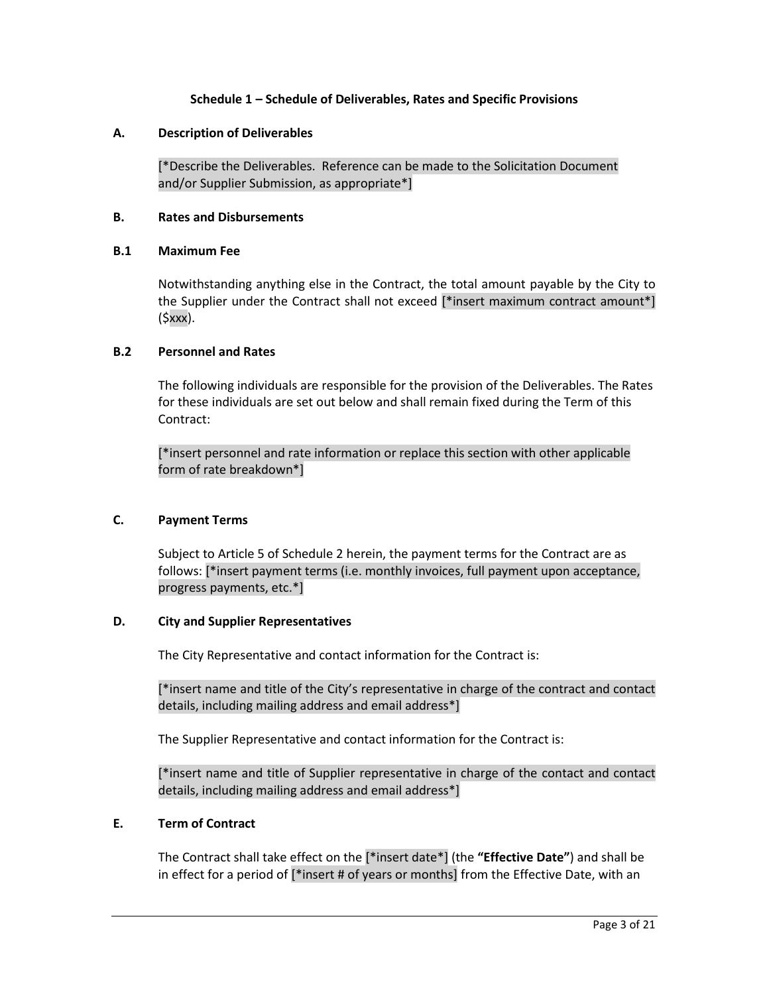## **Schedule 1 – Schedule of Deliverables, Rates and Specific Provisions**

### **A. Description of Deliverables**

[\*Describe the Deliverables. Reference can be made to the Solicitation Document and/or Supplier Submission, as appropriate\*]

### **B. Rates and Disbursements**

#### **B.1 Maximum Fee**

Notwithstanding anything else in the Contract, the total amount payable by the City to the Supplier under the Contract shall not exceed [\*insert maximum contract amount\*] (\$xxx).

### **B.2 Personnel and Rates**

The following individuals are responsible for the provision of the Deliverables. The Rates for these individuals are set out below and shall remain fixed during the Term of this Contract:

[\*insert personnel and rate information or replace this section with other applicable form of rate breakdown\*]

## **C. Payment Terms**

Subject to Article 5 of Schedule 2 herein, the payment terms for the Contract are as follows: [\*insert payment terms (i.e. monthly invoices, full payment upon acceptance, progress payments, etc.\*]

### **D. City and Supplier Representatives**

The City Representative and contact information for the Contract is:

[\*insert name and title of the City's representative in charge of the contract and contact details, including mailing address and email address\*]

The Supplier Representative and contact information for the Contract is:

[\*insert name and title of Supplier representative in charge of the contact and contact details, including mailing address and email address\*]

### **E. Term of Contract**

The Contract shall take effect on the [\*insert date\*] (the **"Effective Date"**) and shall be in effect for a period of [\*insert # of years or months] from the Effective Date, with an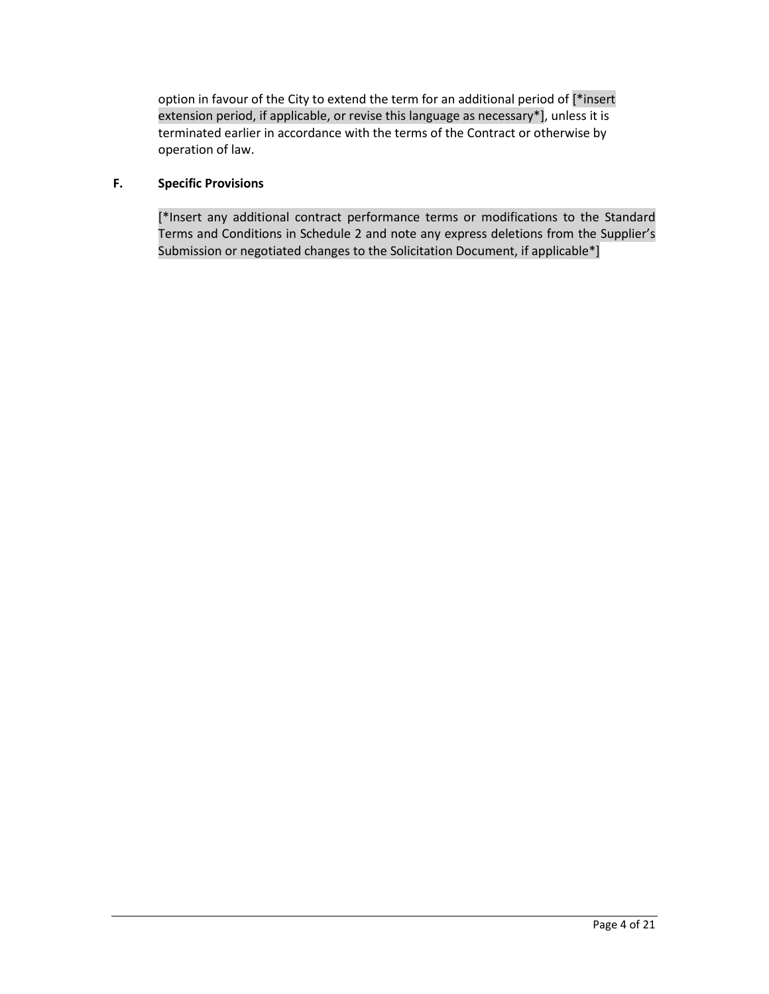option in favour of the City to extend the term for an additional period of [\*insert extension period, if applicable, or revise this language as necessary\*], unless it is terminated earlier in accordance with the terms of the Contract or otherwise by operation of law.

# **F. Specific Provisions**

[\*Insert any additional contract performance terms or modifications to the Standard Terms and Conditions in Schedule 2 and note any express deletions from the Supplier's Submission or negotiated changes to the Solicitation Document, if applicable\*]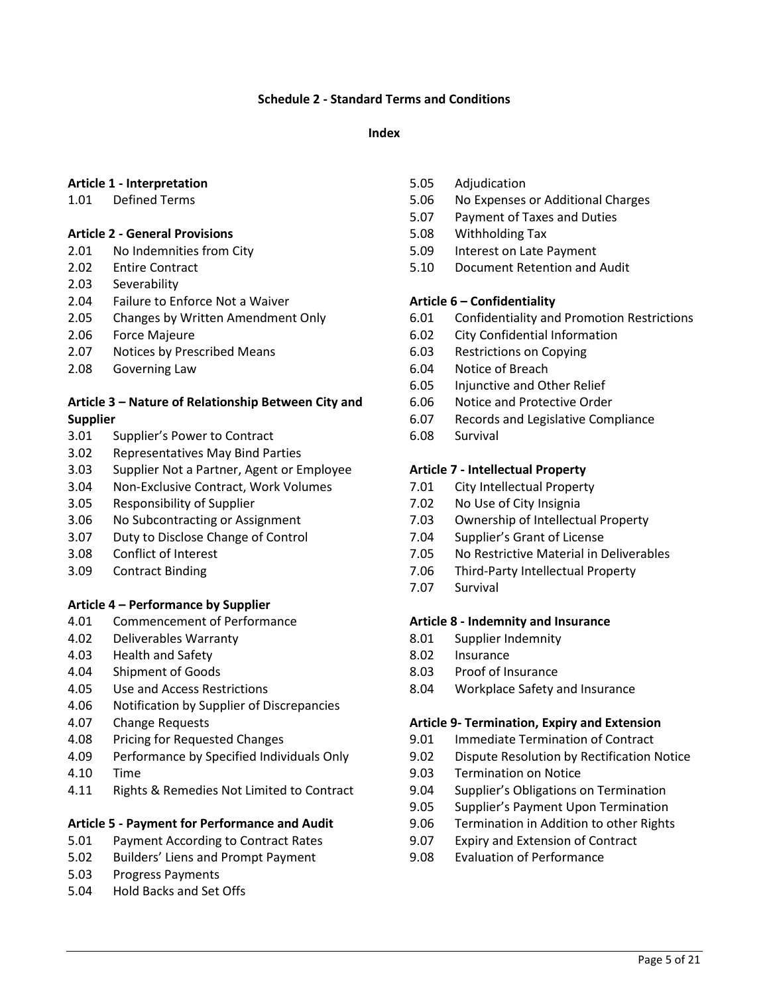## **Schedule 2 - Standard Terms and Conditions**

### **Index**

## **Article 1 - Interpretation**

1.01 Defined Terms

### **Article 2 - General Provisions**

- 2.01 No Indemnities from City
- 2.02 Entire Contract
- 2.03 Severability
- 2.04 Failure to Enforce Not a Waiver
- 2.05 Changes by Written Amendment Only
- 2.06 Force Majeure
- 2.07 Notices by Prescribed Means
- 2.08 Governing Law

## **Article 3 – Nature of Relationship Between City and Supplier**

- 3.01 Supplier's Power to Contract
- 3.02 Representatives May Bind Parties
- 3.03 Supplier Not a Partner, Agent or Employee
- 3.04 Non-Exclusive Contract, Work Volumes
- 3.05 Responsibility of Supplier
- 3.06 No Subcontracting or Assignment
- 3.07 Duty to Disclose Change of Control
- 3.08 Conflict of Interest
- 3.09 Contract Binding

#### **Article 4 – Performance by Supplier**

- 4.01 Commencement of Performance
- 4.02 Deliverables Warranty
- 4.03 Health and Safety
- 4.04 Shipment of Goods
- 4.05 Use and Access Restrictions
- 4.06 Notification by Supplier of Discrepancies
- 4.07 Change Requests
- 4.08 Pricing for Requested Changes
- 4.09 Performance by Specified Individuals Only
- 4.10 Time
- 4.11 Rights & Remedies Not Limited to Contract

### **Article 5 - Payment for Performance and Audit**

- 5.01 Payment According to Contract Rates
- 5.02 Builders' Liens and Prompt Payment
- 5.03 Progress Payments
- 5.04 Hold Backs and Set Offs
- 5.05 Adjudication
- 5.06 No Expenses or Additional Charges
- 5.07 Payment of Taxes and Duties
- 5.08 Withholding Tax
- 5.09 Interest on Late Payment
- 5.10 Document Retention and Audit

# **Article 6 – Confidentiality**

- 6.01 Confidentiality and Promotion Restrictions
- 6.02 City Confidential Information
- 6.03 Restrictions on Copying
- 6.04 Notice of Breach
- 6.05 Injunctive and Other Relief
- 6.06 Notice and Protective Order
- 6.07 Records and Legislative Compliance
- 6.08 Survival

### **Article 7 - Intellectual Property**

- 7.01 City Intellectual Property
- 7.02 No Use of City Insignia
- 7.03 Ownership of Intellectual Property
- 7.04 Supplier's Grant of License
- 7.05 No Restrictive Material in Deliverables
- 7.06 Third-Party Intellectual Property
- 7.07 Survival

#### **Article 8 - Indemnity and Insurance**

- 8.01 Supplier Indemnity
- 8.02 Insurance
- 8.03 Proof of Insurance
- 8.04 Workplace Safety and Insurance

#### **Article 9- Termination, Expiry and Extension**

- 9.01 Immediate Termination of Contract
- 9.02 Dispute Resolution by Rectification Notice
- 9.03 Termination on Notice
- 9.04 Supplier's Obligations on Termination
- 9.05 Supplier's Payment Upon Termination
- 9.06 Termination in Addition to other Rights
- 9.07 Expiry and Extension of Contract
- 9.08 Evaluation of Performance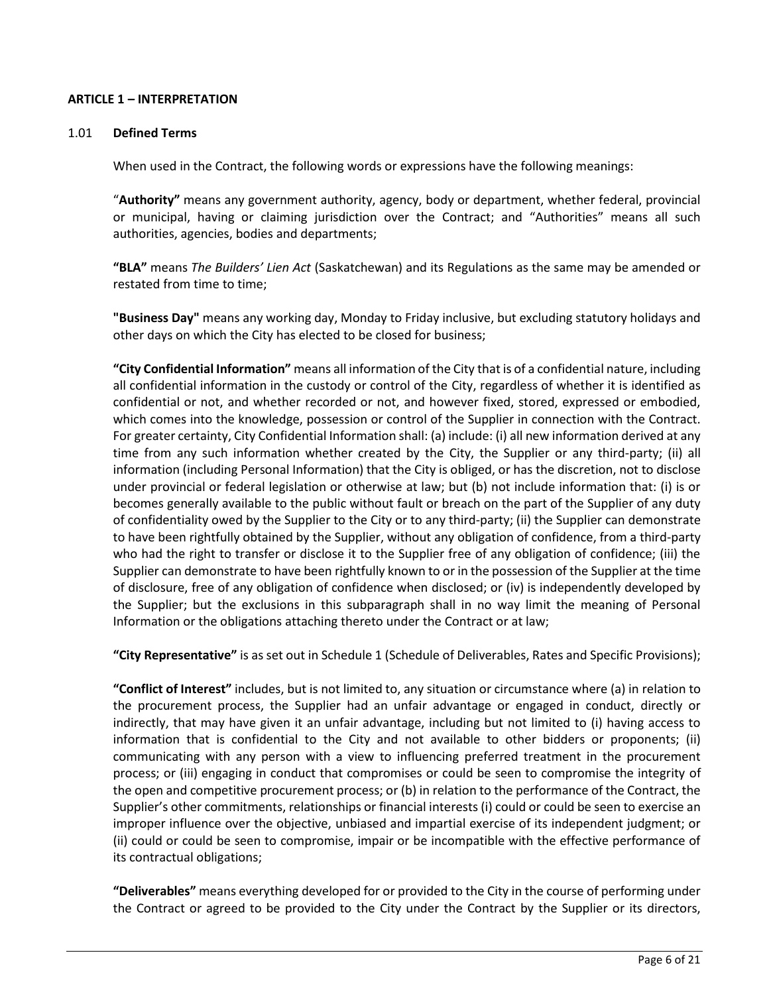## **ARTICLE 1 – INTERPRETATION**

#### 1.01 **Defined Terms**

When used in the Contract, the following words or expressions have the following meanings:

"**Authority"** means any government authority, agency, body or department, whether federal, provincial or municipal, having or claiming jurisdiction over the Contract; and "Authorities" means all such authorities, agencies, bodies and departments;

**"BLA"** means *The Builders' Lien Act* (Saskatchewan) and its Regulations as the same may be amended or restated from time to time;

**"Business Day"** means any working day, Monday to Friday inclusive, but excluding statutory holidays and other days on which the City has elected to be closed for business;

**"City Confidential Information"** means all information of the City that is of a confidential nature, including all confidential information in the custody or control of the City, regardless of whether it is identified as confidential or not, and whether recorded or not, and however fixed, stored, expressed or embodied, which comes into the knowledge, possession or control of the Supplier in connection with the Contract. For greater certainty, City Confidential Information shall: (a) include: (i) all new information derived at any time from any such information whether created by the City, the Supplier or any third-party; (ii) all information (including Personal Information) that the City is obliged, or has the discretion, not to disclose under provincial or federal legislation or otherwise at law; but (b) not include information that: (i) is or becomes generally available to the public without fault or breach on the part of the Supplier of any duty of confidentiality owed by the Supplier to the City or to any third-party; (ii) the Supplier can demonstrate to have been rightfully obtained by the Supplier, without any obligation of confidence, from a third-party who had the right to transfer or disclose it to the Supplier free of any obligation of confidence; (iii) the Supplier can demonstrate to have been rightfully known to or in the possession of the Supplier at the time of disclosure, free of any obligation of confidence when disclosed; or (iv) is independently developed by the Supplier; but the exclusions in this subparagraph shall in no way limit the meaning of Personal Information or the obligations attaching thereto under the Contract or at law;

**"City Representative"** is as set out in Schedule 1 (Schedule of Deliverables, Rates and Specific Provisions);

**"Conflict of Interest"** includes, but is not limited to, any situation or circumstance where (a) in relation to the procurement process, the Supplier had an unfair advantage or engaged in conduct, directly or indirectly, that may have given it an unfair advantage, including but not limited to (i) having access to information that is confidential to the City and not available to other bidders or proponents; (ii) communicating with any person with a view to influencing preferred treatment in the procurement process; or (iii) engaging in conduct that compromises or could be seen to compromise the integrity of the open and competitive procurement process; or (b) in relation to the performance of the Contract, the Supplier's other commitments, relationships or financial interests (i) could or could be seen to exercise an improper influence over the objective, unbiased and impartial exercise of its independent judgment; or (ii) could or could be seen to compromise, impair or be incompatible with the effective performance of its contractual obligations;

**"Deliverables"** means everything developed for or provided to the City in the course of performing under the Contract or agreed to be provided to the City under the Contract by the Supplier or its directors,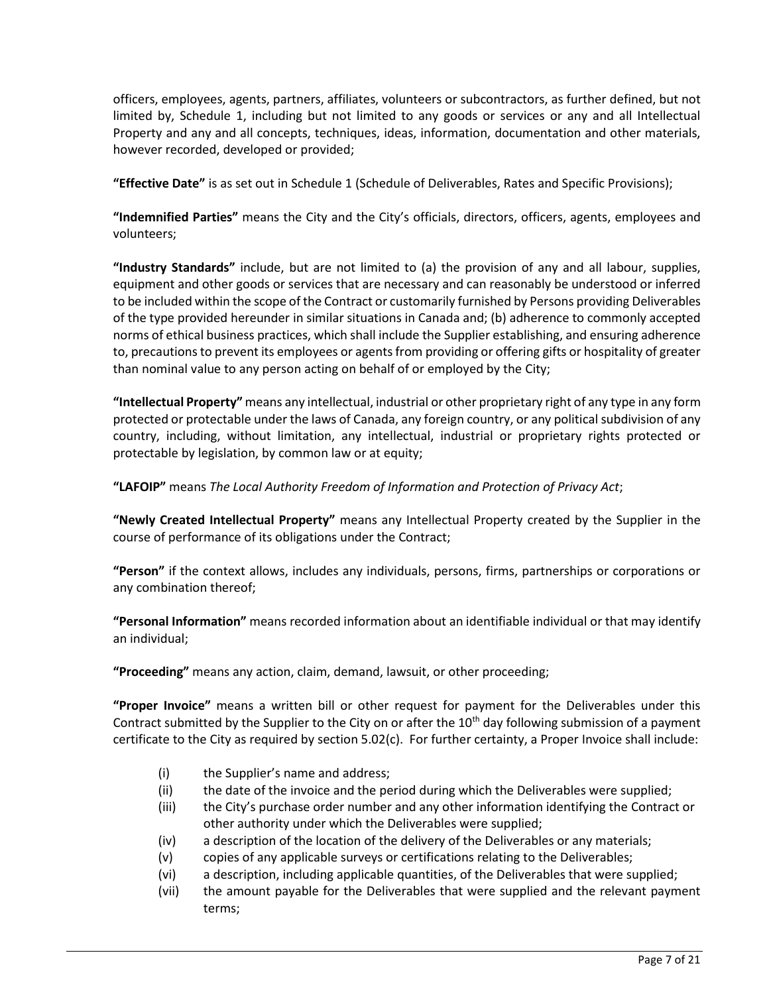officers, employees, agents, partners, affiliates, volunteers or subcontractors, as further defined, but not limited by, Schedule 1, including but not limited to any goods or services or any and all Intellectual Property and any and all concepts, techniques, ideas, information, documentation and other materials, however recorded, developed or provided;

**"Effective Date"** is as set out in Schedule 1 (Schedule of Deliverables, Rates and Specific Provisions);

**"Indemnified Parties"** means the City and the City's officials, directors, officers, agents, employees and volunteers;

**"Industry Standards"** include, but are not limited to (a) the provision of any and all labour, supplies, equipment and other goods or services that are necessary and can reasonably be understood or inferred to be included within the scope of the Contract or customarily furnished by Persons providing Deliverables of the type provided hereunder in similar situations in Canada and; (b) adherence to commonly accepted norms of ethical business practices, which shall include the Supplier establishing, and ensuring adherence to, precautions to prevent its employees or agents from providing or offering gifts or hospitality of greater than nominal value to any person acting on behalf of or employed by the City;

**"Intellectual Property"** means any intellectual, industrial or other proprietary right of any type in any form protected or protectable under the laws of Canada, any foreign country, or any political subdivision of any country, including, without limitation, any intellectual, industrial or proprietary rights protected or protectable by legislation, by common law or at equity;

**"LAFOIP"** means *The Local Authority Freedom of Information and Protection of Privacy Act*;

**"Newly Created Intellectual Property"** means any Intellectual Property created by the Supplier in the course of performance of its obligations under the Contract;

**"Person"** if the context allows, includes any individuals, persons, firms, partnerships or corporations or any combination thereof;

**"Personal Information"** means recorded information about an identifiable individual or that may identify an individual;

**"Proceeding"** means any action, claim, demand, lawsuit, or other proceeding;

**"Proper Invoice"** means a written bill or other request for payment for the Deliverables under this Contract submitted by the Supplier to the City on or after the  $10<sup>th</sup>$  day following submission of a payment certificate to the City as required by section 5.02(c). For further certainty, a Proper Invoice shall include:

- (i) the Supplier's name and address;
- (ii) the date of the invoice and the period during which the Deliverables were supplied;
- (iii) the City's purchase order number and any other information identifying the Contract or other authority under which the Deliverables were supplied;
- (iv) a description of the location of the delivery of the Deliverables or any materials;
- (v) copies of any applicable surveys or certifications relating to the Deliverables;
- (vi) a description, including applicable quantities, of the Deliverables that were supplied;
- (vii) the amount payable for the Deliverables that were supplied and the relevant payment terms;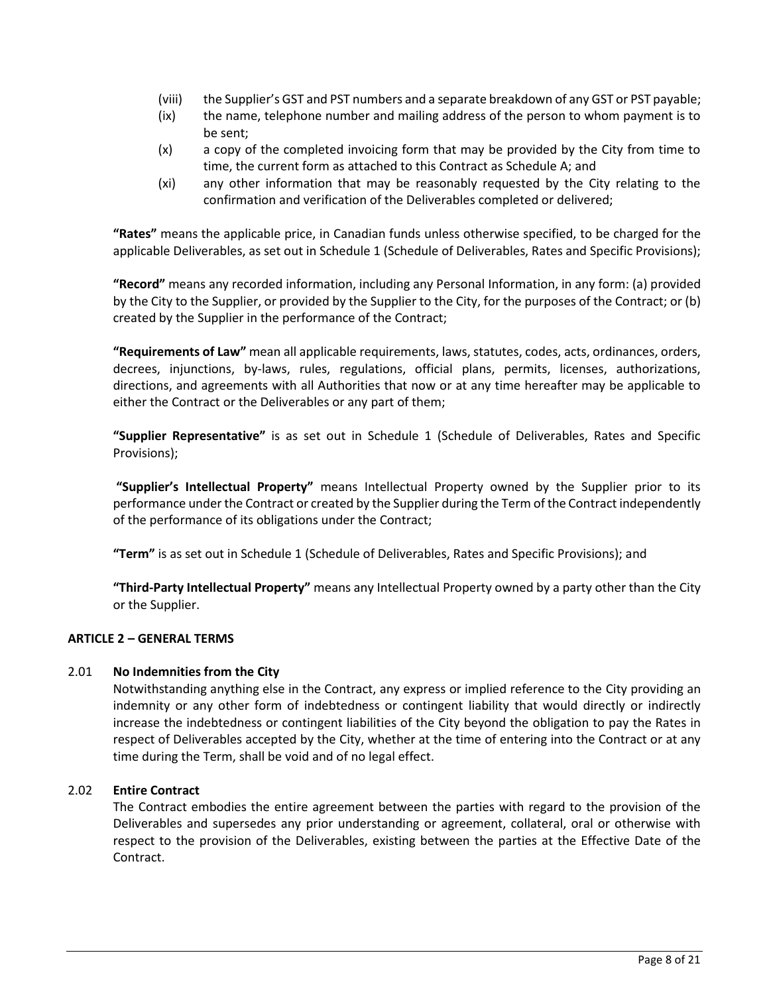- (viii) the Supplier's GST and PST numbers and a separate breakdown of any GST or PST payable;
- (ix) the name, telephone number and mailing address of the person to whom payment is to be sent;
- (x) a copy of the completed invoicing form that may be provided by the City from time to time, the current form as attached to this Contract as Schedule A; and
- (xi) any other information that may be reasonably requested by the City relating to the confirmation and verification of the Deliverables completed or delivered;

**"Rates"** means the applicable price, in Canadian funds unless otherwise specified, to be charged for the applicable Deliverables, as set out in Schedule 1 (Schedule of Deliverables, Rates and Specific Provisions);

**"Record"** means any recorded information, including any Personal Information, in any form: (a) provided by the City to the Supplier, or provided by the Supplier to the City, for the purposes of the Contract; or (b) created by the Supplier in the performance of the Contract;

**"Requirements of Law"** mean all applicable requirements, laws, statutes, codes, acts, ordinances, orders, decrees, injunctions, by-laws, rules, regulations, official plans, permits, licenses, authorizations, directions, and agreements with all Authorities that now or at any time hereafter may be applicable to either the Contract or the Deliverables or any part of them;

**"Supplier Representative"** is as set out in Schedule 1 (Schedule of Deliverables, Rates and Specific Provisions);

**"Supplier's Intellectual Property"** means Intellectual Property owned by the Supplier prior to its performance under the Contract or created by the Supplier during the Term of the Contract independently of the performance of its obligations under the Contract;

**"Term"** is as set out in Schedule 1 (Schedule of Deliverables, Rates and Specific Provisions); and

**"Third-Party Intellectual Property"** means any Intellectual Property owned by a party other than the City or the Supplier.

# **ARTICLE 2 – GENERAL TERMS**

## 2.01 **No Indemnities from the City**

Notwithstanding anything else in the Contract, any express or implied reference to the City providing an indemnity or any other form of indebtedness or contingent liability that would directly or indirectly increase the indebtedness or contingent liabilities of the City beyond the obligation to pay the Rates in respect of Deliverables accepted by the City, whether at the time of entering into the Contract or at any time during the Term, shall be void and of no legal effect.

# 2.02 **Entire Contract**

The Contract embodies the entire agreement between the parties with regard to the provision of the Deliverables and supersedes any prior understanding or agreement, collateral, oral or otherwise with respect to the provision of the Deliverables, existing between the parties at the Effective Date of the Contract.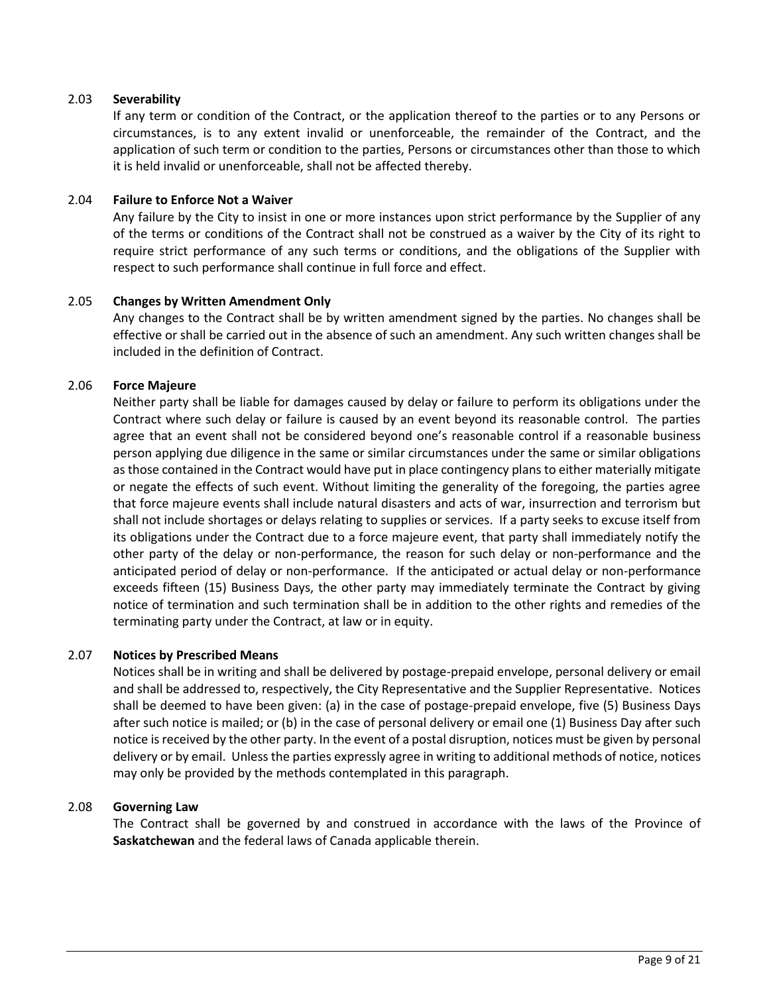## 2.03 **Severability**

If any term or condition of the Contract, or the application thereof to the parties or to any Persons or circumstances, is to any extent invalid or unenforceable, the remainder of the Contract, and the application of such term or condition to the parties, Persons or circumstances other than those to which it is held invalid or unenforceable, shall not be affected thereby.

## 2.04 **Failure to Enforce Not a Waiver**

Any failure by the City to insist in one or more instances upon strict performance by the Supplier of any of the terms or conditions of the Contract shall not be construed as a waiver by the City of its right to require strict performance of any such terms or conditions, and the obligations of the Supplier with respect to such performance shall continue in full force and effect.

### 2.05 **Changes by Written Amendment Only**

Any changes to the Contract shall be by written amendment signed by the parties. No changes shall be effective or shall be carried out in the absence of such an amendment. Any such written changes shall be included in the definition of Contract.

### 2.06 **Force Majeure**

Neither party shall be liable for damages caused by delay or failure to perform its obligations under the Contract where such delay or failure is caused by an event beyond its reasonable control. The parties agree that an event shall not be considered beyond one's reasonable control if a reasonable business person applying due diligence in the same or similar circumstances under the same or similar obligations as those contained in the Contract would have put in place contingency plans to either materially mitigate or negate the effects of such event. Without limiting the generality of the foregoing, the parties agree that force majeure events shall include natural disasters and acts of war, insurrection and terrorism but shall not include shortages or delays relating to supplies or services. If a party seeks to excuse itself from its obligations under the Contract due to a force majeure event, that party shall immediately notify the other party of the delay or non-performance, the reason for such delay or non-performance and the anticipated period of delay or non-performance. If the anticipated or actual delay or non-performance exceeds fifteen (15) Business Days, the other party may immediately terminate the Contract by giving notice of termination and such termination shall be in addition to the other rights and remedies of the terminating party under the Contract, at law or in equity.

## 2.07 **Notices by Prescribed Means**

Notices shall be in writing and shall be delivered by postage-prepaid envelope, personal delivery or email and shall be addressed to, respectively, the City Representative and the Supplier Representative. Notices shall be deemed to have been given: (a) in the case of postage-prepaid envelope, five (5) Business Days after such notice is mailed; or (b) in the case of personal delivery or email one (1) Business Day after such notice is received by the other party. In the event of a postal disruption, notices must be given by personal delivery or by email. Unless the parties expressly agree in writing to additional methods of notice, notices may only be provided by the methods contemplated in this paragraph.

## 2.08 **Governing Law**

The Contract shall be governed by and construed in accordance with the laws of the Province of **Saskatchewan** and the federal laws of Canada applicable therein.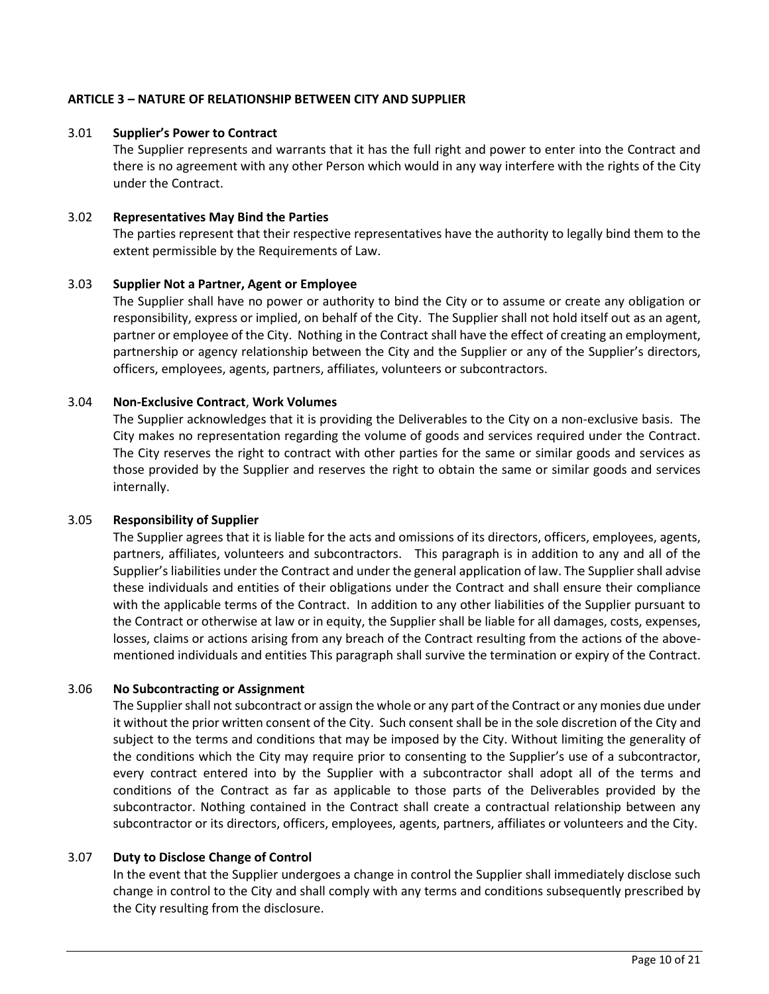# **ARTICLE 3 – NATURE OF RELATIONSHIP BETWEEN CITY AND SUPPLIER**

### 3.01 **Supplier's Power to Contract**

The Supplier represents and warrants that it has the full right and power to enter into the Contract and there is no agreement with any other Person which would in any way interfere with the rights of the City under the Contract.

### 3.02 **Representatives May Bind the Parties**

The parties represent that their respective representatives have the authority to legally bind them to the extent permissible by the Requirements of Law.

### 3.03 **Supplier Not a Partner, Agent or Employee**

The Supplier shall have no power or authority to bind the City or to assume or create any obligation or responsibility, express or implied, on behalf of the City. The Supplier shall not hold itself out as an agent, partner or employee of the City. Nothing in the Contract shall have the effect of creating an employment, partnership or agency relationship between the City and the Supplier or any of the Supplier's directors, officers, employees, agents, partners, affiliates, volunteers or subcontractors.

### 3.04 **Non-Exclusive Contract**, **Work Volumes**

The Supplier acknowledges that it is providing the Deliverables to the City on a non-exclusive basis. The City makes no representation regarding the volume of goods and services required under the Contract. The City reserves the right to contract with other parties for the same or similar goods and services as those provided by the Supplier and reserves the right to obtain the same or similar goods and services internally.

#### 3.05 **Responsibility of Supplier**

The Supplier agrees that it is liable for the acts and omissions of its directors, officers, employees, agents, partners, affiliates, volunteers and subcontractors. This paragraph is in addition to any and all of the Supplier's liabilities under the Contract and under the general application of law. The Supplier shall advise these individuals and entities of their obligations under the Contract and shall ensure their compliance with the applicable terms of the Contract. In addition to any other liabilities of the Supplier pursuant to the Contract or otherwise at law or in equity, the Supplier shall be liable for all damages, costs, expenses, losses, claims or actions arising from any breach of the Contract resulting from the actions of the abovementioned individuals and entities This paragraph shall survive the termination or expiry of the Contract.

## 3.06 **No Subcontracting or Assignment**

The Supplier shall not subcontract or assign the whole or any part of the Contract or any monies due under it without the prior written consent of the City. Such consent shall be in the sole discretion of the City and subject to the terms and conditions that may be imposed by the City. Without limiting the generality of the conditions which the City may require prior to consenting to the Supplier's use of a subcontractor, every contract entered into by the Supplier with a subcontractor shall adopt all of the terms and conditions of the Contract as far as applicable to those parts of the Deliverables provided by the subcontractor. Nothing contained in the Contract shall create a contractual relationship between any subcontractor or its directors, officers, employees, agents, partners, affiliates or volunteers and the City.

#### 3.07 **Duty to Disclose Change of Control**

In the event that the Supplier undergoes a change in control the Supplier shall immediately disclose such change in control to the City and shall comply with any terms and conditions subsequently prescribed by the City resulting from the disclosure.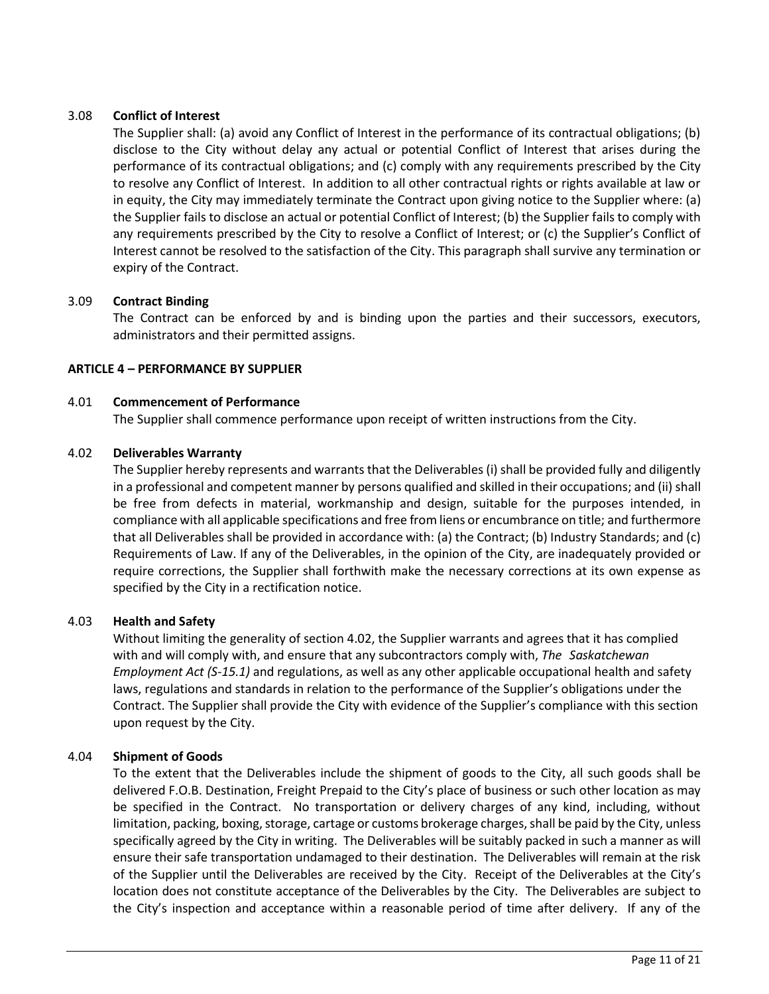# 3.08 **Conflict of Interest**

The Supplier shall: (a) avoid any Conflict of Interest in the performance of its contractual obligations; (b) disclose to the City without delay any actual or potential Conflict of Interest that arises during the performance of its contractual obligations; and (c) comply with any requirements prescribed by the City to resolve any Conflict of Interest. In addition to all other contractual rights or rights available at law or in equity, the City may immediately terminate the Contract upon giving notice to the Supplier where: (a) the Supplier fails to disclose an actual or potential Conflict of Interest; (b) the Supplier fails to comply with any requirements prescribed by the City to resolve a Conflict of Interest; or (c) the Supplier's Conflict of Interest cannot be resolved to the satisfaction of the City. This paragraph shall survive any termination or expiry of the Contract.

# 3.09 **Contract Binding**

The Contract can be enforced by and is binding upon the parties and their successors, executors, administrators and their permitted assigns.

# **ARTICLE 4 – PERFORMANCE BY SUPPLIER**

## 4.01 **Commencement of Performance**

The Supplier shall commence performance upon receipt of written instructions from the City.

## 4.02 **Deliverables Warranty**

The Supplier hereby represents and warrants that the Deliverables (i) shall be provided fully and diligently in a professional and competent manner by persons qualified and skilled in their occupations; and (ii) shall be free from defects in material, workmanship and design, suitable for the purposes intended, in compliance with all applicable specifications and free from liens or encumbrance on title; and furthermore that all Deliverables shall be provided in accordance with: (a) the Contract; (b) Industry Standards; and (c) Requirements of Law. If any of the Deliverables, in the opinion of the City, are inadequately provided or require corrections, the Supplier shall forthwith make the necessary corrections at its own expense as specified by the City in a rectification notice.

## 4.03 **Health and Safety**

Without limiting the generality of section 4.02, the Supplier warrants and agrees that it has complied with and will comply with, and ensure that any subcontractors comply with, *The Saskatchewan Employment Act (S-15.1)* and regulations, as well as any other applicable occupational health and safety laws, regulations and standards in relation to the performance of the Supplier's obligations under the Contract. The Supplier shall provide the City with evidence of the Supplier's compliance with this section upon request by the City.

## 4.04 **Shipment of Goods**

To the extent that the Deliverables include the shipment of goods to the City, all such goods shall be delivered F.O.B. Destination, Freight Prepaid to the City's place of business or such other location as may be specified in the Contract. No transportation or delivery charges of any kind, including, without limitation, packing, boxing, storage, cartage or customs brokerage charges, shall be paid by the City, unless specifically agreed by the City in writing. The Deliverables will be suitably packed in such a manner as will ensure their safe transportation undamaged to their destination. The Deliverables will remain at the risk of the Supplier until the Deliverables are received by the City. Receipt of the Deliverables at the City's location does not constitute acceptance of the Deliverables by the City. The Deliverables are subject to the City's inspection and acceptance within a reasonable period of time after delivery. If any of the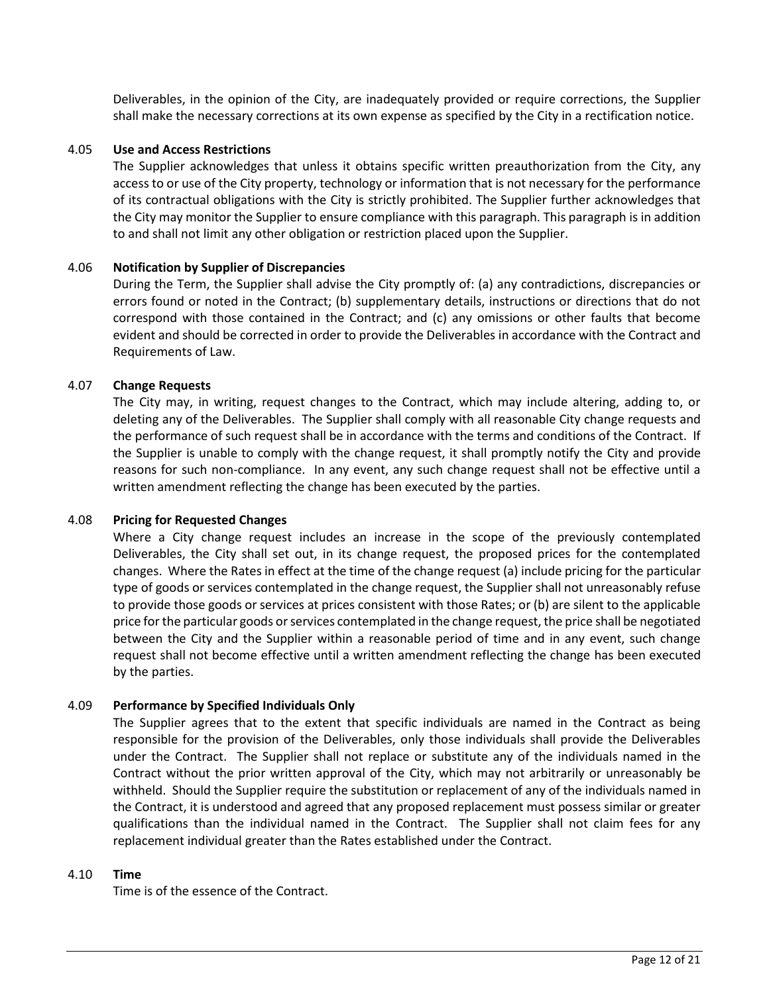Deliverables, in the opinion of the City, are inadequately provided or require corrections, the Supplier shall make the necessary corrections at its own expense as specified by the City in a rectification notice.

### 4.05 **Use and Access Restrictions**

The Supplier acknowledges that unless it obtains specific written preauthorization from the City, any access to or use of the City property, technology or information that is not necessary for the performance of its contractual obligations with the City is strictly prohibited. The Supplier further acknowledges that the City may monitor the Supplier to ensure compliance with this paragraph. This paragraph is in addition to and shall not limit any other obligation or restriction placed upon the Supplier.

### 4.06 **Notification by Supplier of Discrepancies**

During the Term, the Supplier shall advise the City promptly of: (a) any contradictions, discrepancies or errors found or noted in the Contract; (b) supplementary details, instructions or directions that do not correspond with those contained in the Contract; and (c) any omissions or other faults that become evident and should be corrected in order to provide the Deliverables in accordance with the Contract and Requirements of Law.

### 4.07 **Change Requests**

The City may, in writing, request changes to the Contract, which may include altering, adding to, or deleting any of the Deliverables. The Supplier shall comply with all reasonable City change requests and the performance of such request shall be in accordance with the terms and conditions of the Contract. If the Supplier is unable to comply with the change request, it shall promptly notify the City and provide reasons for such non-compliance. In any event, any such change request shall not be effective until a written amendment reflecting the change has been executed by the parties.

#### 4.08 **Pricing for Requested Changes**

Where a City change request includes an increase in the scope of the previously contemplated Deliverables, the City shall set out, in its change request, the proposed prices for the contemplated changes. Where the Rates in effect at the time of the change request (a) include pricing for the particular type of goods or services contemplated in the change request, the Supplier shall not unreasonably refuse to provide those goods or services at prices consistent with those Rates; or (b) are silent to the applicable price for the particular goods or services contemplated in the change request, the price shall be negotiated between the City and the Supplier within a reasonable period of time and in any event, such change request shall not become effective until a written amendment reflecting the change has been executed by the parties.

## 4.09 **Performance by Specified Individuals Only**

The Supplier agrees that to the extent that specific individuals are named in the Contract as being responsible for the provision of the Deliverables, only those individuals shall provide the Deliverables under the Contract. The Supplier shall not replace or substitute any of the individuals named in the Contract without the prior written approval of the City, which may not arbitrarily or unreasonably be withheld. Should the Supplier require the substitution or replacement of any of the individuals named in the Contract, it is understood and agreed that any proposed replacement must possess similar or greater qualifications than the individual named in the Contract. The Supplier shall not claim fees for any replacement individual greater than the Rates established under the Contract.

#### 4.10 **Time**

Time is of the essence of the Contract.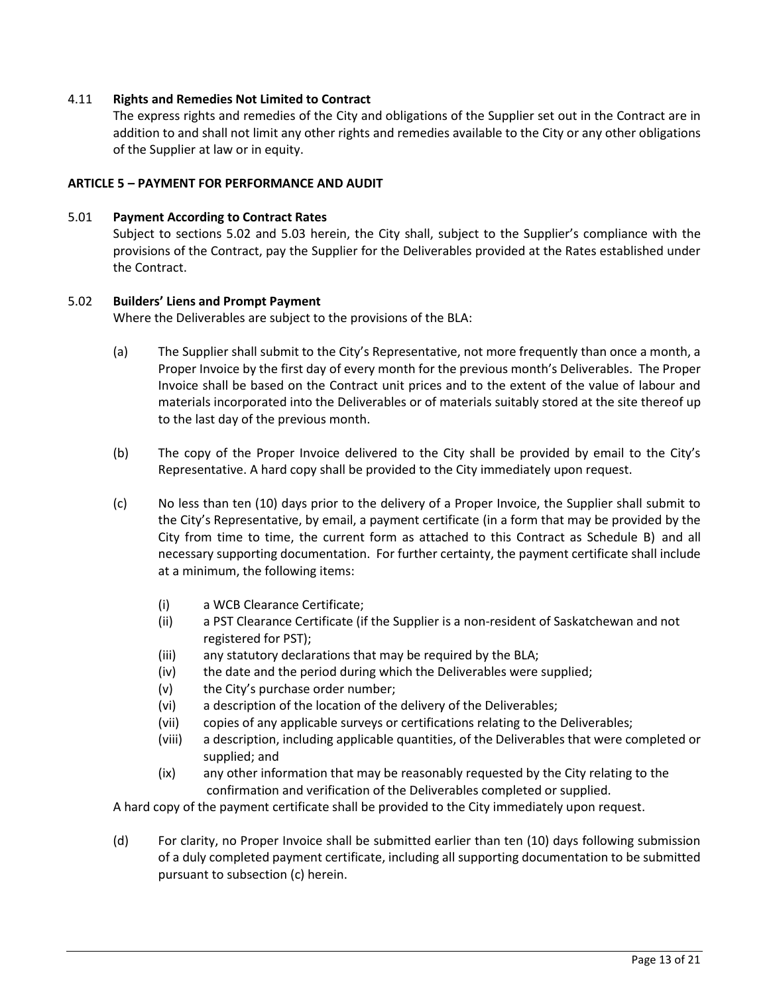## 4.11 **Rights and Remedies Not Limited to Contract**

The express rights and remedies of the City and obligations of the Supplier set out in the Contract are in addition to and shall not limit any other rights and remedies available to the City or any other obligations of the Supplier at law or in equity.

### **ARTICLE 5 – PAYMENT FOR PERFORMANCE AND AUDIT**

### 5.01 **Payment According to Contract Rates**

Subject to sections 5.02 and 5.03 herein, the City shall, subject to the Supplier's compliance with the provisions of the Contract, pay the Supplier for the Deliverables provided at the Rates established under the Contract.

### 5.02 **Builders' Liens and Prompt Payment**

Where the Deliverables are subject to the provisions of the BLA:

- (a) The Supplier shall submit to the City's Representative, not more frequently than once a month, a Proper Invoice by the first day of every month for the previous month's Deliverables. The Proper Invoice shall be based on the Contract unit prices and to the extent of the value of labour and materials incorporated into the Deliverables or of materials suitably stored at the site thereof up to the last day of the previous month.
- (b) The copy of the Proper Invoice delivered to the City shall be provided by email to the City's Representative. A hard copy shall be provided to the City immediately upon request.
- (c) No less than ten (10) days prior to the delivery of a Proper Invoice, the Supplier shall submit to the City's Representative, by email, a payment certificate (in a form that may be provided by the City from time to time, the current form as attached to this Contract as Schedule B) and all necessary supporting documentation. For further certainty, the payment certificate shall include at a minimum, the following items:
	- (i) a WCB Clearance Certificate;
	- (ii) a PST Clearance Certificate (if the Supplier is a non-resident of Saskatchewan and not registered for PST);
	- (iii) any statutory declarations that may be required by the BLA;
	- (iv) the date and the period during which the Deliverables were supplied;
	- (v) the City's purchase order number;
	- (vi) a description of the location of the delivery of the Deliverables;
	- (vii) copies of any applicable surveys or certifications relating to the Deliverables;
	- (viii) a description, including applicable quantities, of the Deliverables that were completed or supplied; and
	- (ix) any other information that may be reasonably requested by the City relating to the confirmation and verification of the Deliverables completed or supplied.

A hard copy of the payment certificate shall be provided to the City immediately upon request.

(d) For clarity, no Proper Invoice shall be submitted earlier than ten (10) days following submission of a duly completed payment certificate, including all supporting documentation to be submitted pursuant to subsection (c) herein.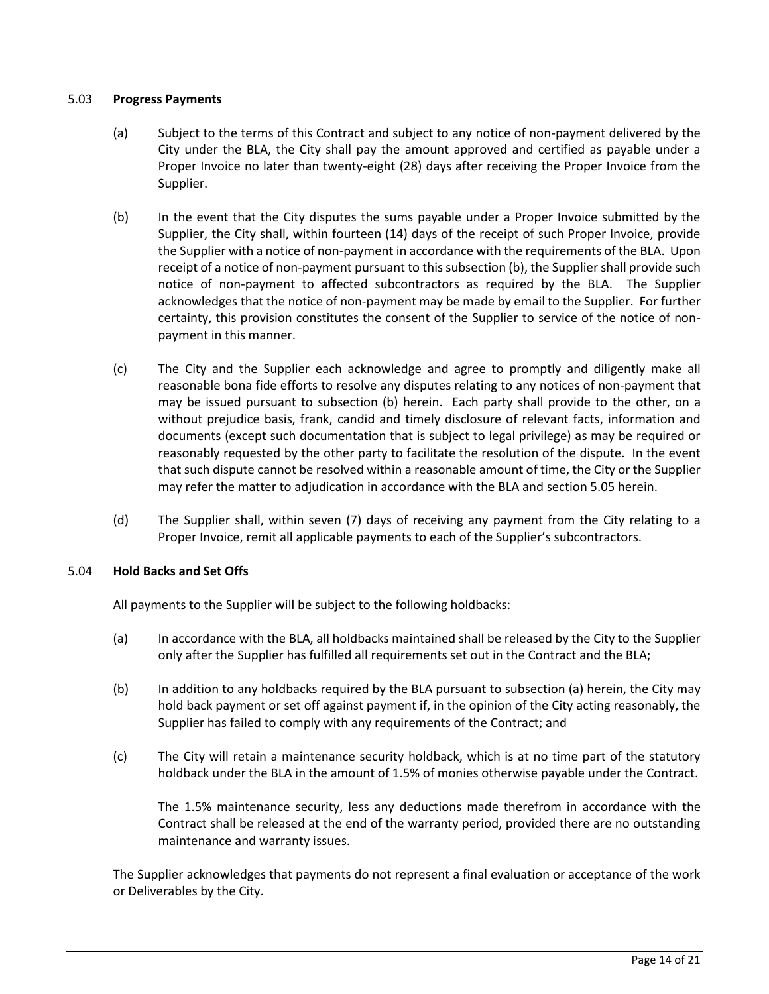## 5.03 **Progress Payments**

- (a) Subject to the terms of this Contract and subject to any notice of non-payment delivered by the City under the BLA, the City shall pay the amount approved and certified as payable under a Proper Invoice no later than twenty-eight (28) days after receiving the Proper Invoice from the Supplier.
- (b) In the event that the City disputes the sums payable under a Proper Invoice submitted by the Supplier, the City shall, within fourteen (14) days of the receipt of such Proper Invoice, provide the Supplier with a notice of non-payment in accordance with the requirements of the BLA. Upon receipt of a notice of non-payment pursuant to this subsection (b), the Supplier shall provide such notice of non-payment to affected subcontractors as required by the BLA. The Supplier acknowledges that the notice of non-payment may be made by email to the Supplier. For further certainty, this provision constitutes the consent of the Supplier to service of the notice of nonpayment in this manner.
- (c) The City and the Supplier each acknowledge and agree to promptly and diligently make all reasonable bona fide efforts to resolve any disputes relating to any notices of non-payment that may be issued pursuant to subsection (b) herein. Each party shall provide to the other, on a without prejudice basis, frank, candid and timely disclosure of relevant facts, information and documents (except such documentation that is subject to legal privilege) as may be required or reasonably requested by the other party to facilitate the resolution of the dispute. In the event that such dispute cannot be resolved within a reasonable amount of time, the City or the Supplier may refer the matter to adjudication in accordance with the BLA and section 5.05 herein.
- (d) The Supplier shall, within seven (7) days of receiving any payment from the City relating to a Proper Invoice, remit all applicable payments to each of the Supplier's subcontractors.

## 5.04 **Hold Backs and Set Offs**

All payments to the Supplier will be subject to the following holdbacks:

- (a) In accordance with the BLA, all holdbacks maintained shall be released by the City to the Supplier only after the Supplier has fulfilled all requirements set out in the Contract and the BLA;
- (b) In addition to any holdbacks required by the BLA pursuant to subsection (a) herein, the City may hold back payment or set off against payment if, in the opinion of the City acting reasonably, the Supplier has failed to comply with any requirements of the Contract; and
- (c) The City will retain a maintenance security holdback, which is at no time part of the statutory holdback under the BLA in the amount of 1.5% of monies otherwise payable under the Contract.

The 1.5% maintenance security, less any deductions made therefrom in accordance with the Contract shall be released at the end of the warranty period, provided there are no outstanding maintenance and warranty issues.

The Supplier acknowledges that payments do not represent a final evaluation or acceptance of the work or Deliverables by the City.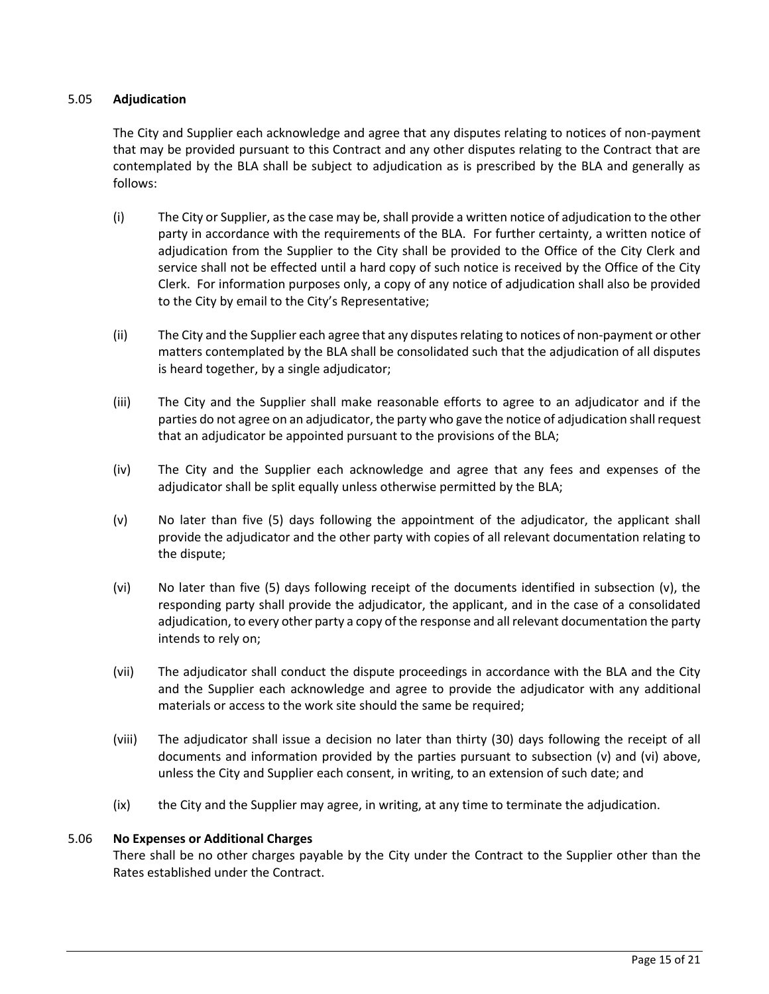## 5.05 **Adjudication**

The City and Supplier each acknowledge and agree that any disputes relating to notices of non-payment that may be provided pursuant to this Contract and any other disputes relating to the Contract that are contemplated by the BLA shall be subject to adjudication as is prescribed by the BLA and generally as follows:

- (i) The City or Supplier, as the case may be, shall provide a written notice of adjudication to the other party in accordance with the requirements of the BLA. For further certainty, a written notice of adjudication from the Supplier to the City shall be provided to the Office of the City Clerk and service shall not be effected until a hard copy of such notice is received by the Office of the City Clerk. For information purposes only, a copy of any notice of adjudication shall also be provided to the City by email to the City's Representative;
- (ii) The City and the Supplier each agree that any disputes relating to notices of non-payment or other matters contemplated by the BLA shall be consolidated such that the adjudication of all disputes is heard together, by a single adjudicator;
- (iii) The City and the Supplier shall make reasonable efforts to agree to an adjudicator and if the parties do not agree on an adjudicator, the party who gave the notice of adjudication shall request that an adjudicator be appointed pursuant to the provisions of the BLA;
- (iv) The City and the Supplier each acknowledge and agree that any fees and expenses of the adjudicator shall be split equally unless otherwise permitted by the BLA;
- (v) No later than five (5) days following the appointment of the adjudicator, the applicant shall provide the adjudicator and the other party with copies of all relevant documentation relating to the dispute;
- (vi) No later than five (5) days following receipt of the documents identified in subsection (v), the responding party shall provide the adjudicator, the applicant, and in the case of a consolidated adjudication, to every other party a copy of the response and all relevant documentation the party intends to rely on;
- (vii) The adjudicator shall conduct the dispute proceedings in accordance with the BLA and the City and the Supplier each acknowledge and agree to provide the adjudicator with any additional materials or access to the work site should the same be required;
- (viii) The adjudicator shall issue a decision no later than thirty (30) days following the receipt of all documents and information provided by the parties pursuant to subsection (v) and (vi) above, unless the City and Supplier each consent, in writing, to an extension of such date; and
- (ix) the City and the Supplier may agree, in writing, at any time to terminate the adjudication.

## 5.06 **No Expenses or Additional Charges**

There shall be no other charges payable by the City under the Contract to the Supplier other than the Rates established under the Contract.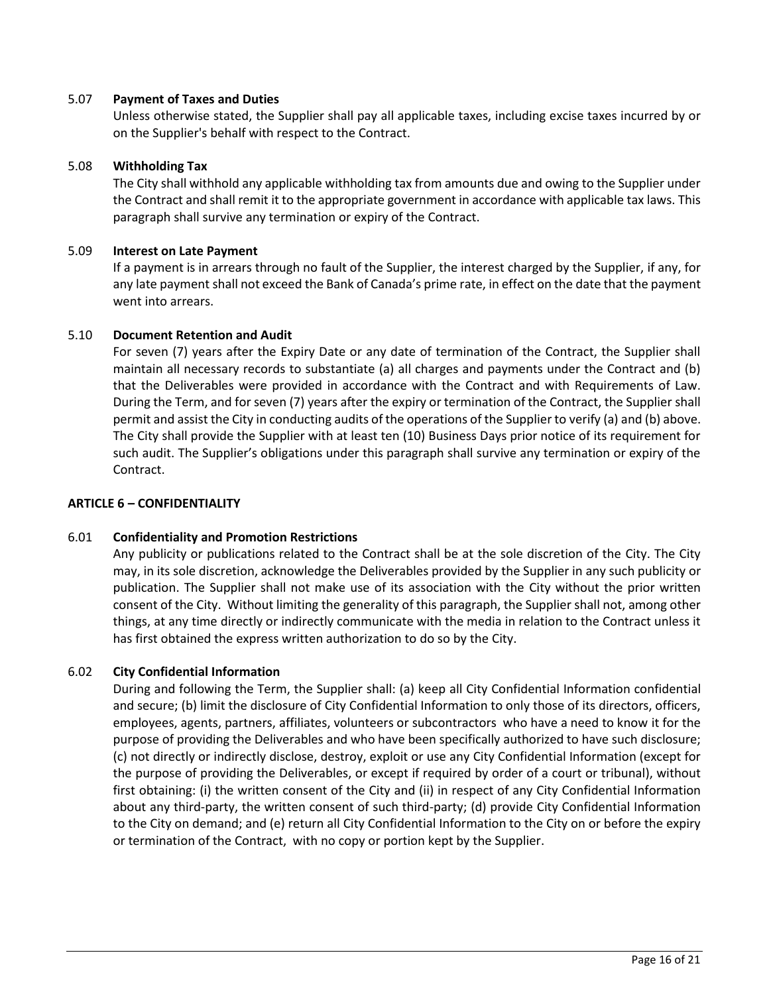### 5.07 **Payment of Taxes and Duties**

Unless otherwise stated, the Supplier shall pay all applicable taxes, including excise taxes incurred by or on the Supplier's behalf with respect to the Contract.

### 5.08 **Withholding Tax**

The City shall withhold any applicable withholding tax from amounts due and owing to the Supplier under the Contract and shall remit it to the appropriate government in accordance with applicable tax laws. This paragraph shall survive any termination or expiry of the Contract.

### 5.09 **Interest on Late Payment**

If a payment is in arrears through no fault of the Supplier, the interest charged by the Supplier, if any, for any late payment shall not exceed the Bank of Canada's prime rate, in effect on the date that the payment went into arrears.

## 5.10 **Document Retention and Audit**

For seven (7) years after the Expiry Date or any date of termination of the Contract, the Supplier shall maintain all necessary records to substantiate (a) all charges and payments under the Contract and (b) that the Deliverables were provided in accordance with the Contract and with Requirements of Law. During the Term, and for seven (7) years after the expiry or termination of the Contract, the Supplier shall permit and assist the City in conducting audits of the operations of the Supplier to verify (a) and (b) above. The City shall provide the Supplier with at least ten (10) Business Days prior notice of its requirement for such audit. The Supplier's obligations under this paragraph shall survive any termination or expiry of the Contract.

### **ARTICLE 6 – CONFIDENTIALITY**

## 6.01 **Confidentiality and Promotion Restrictions**

Any publicity or publications related to the Contract shall be at the sole discretion of the City. The City may, in its sole discretion, acknowledge the Deliverables provided by the Supplier in any such publicity or publication. The Supplier shall not make use of its association with the City without the prior written consent of the City. Without limiting the generality of this paragraph, the Supplier shall not, among other things, at any time directly or indirectly communicate with the media in relation to the Contract unless it has first obtained the express written authorization to do so by the City.

## 6.02 **City Confidential Information**

During and following the Term, the Supplier shall: (a) keep all City Confidential Information confidential and secure; (b) limit the disclosure of City Confidential Information to only those of its directors, officers, employees, agents, partners, affiliates, volunteers or subcontractors who have a need to know it for the purpose of providing the Deliverables and who have been specifically authorized to have such disclosure; (c) not directly or indirectly disclose, destroy, exploit or use any City Confidential Information (except for the purpose of providing the Deliverables, or except if required by order of a court or tribunal), without first obtaining: (i) the written consent of the City and (ii) in respect of any City Confidential Information about any third-party, the written consent of such third-party; (d) provide City Confidential Information to the City on demand; and (e) return all City Confidential Information to the City on or before the expiry or termination of the Contract, with no copy or portion kept by the Supplier.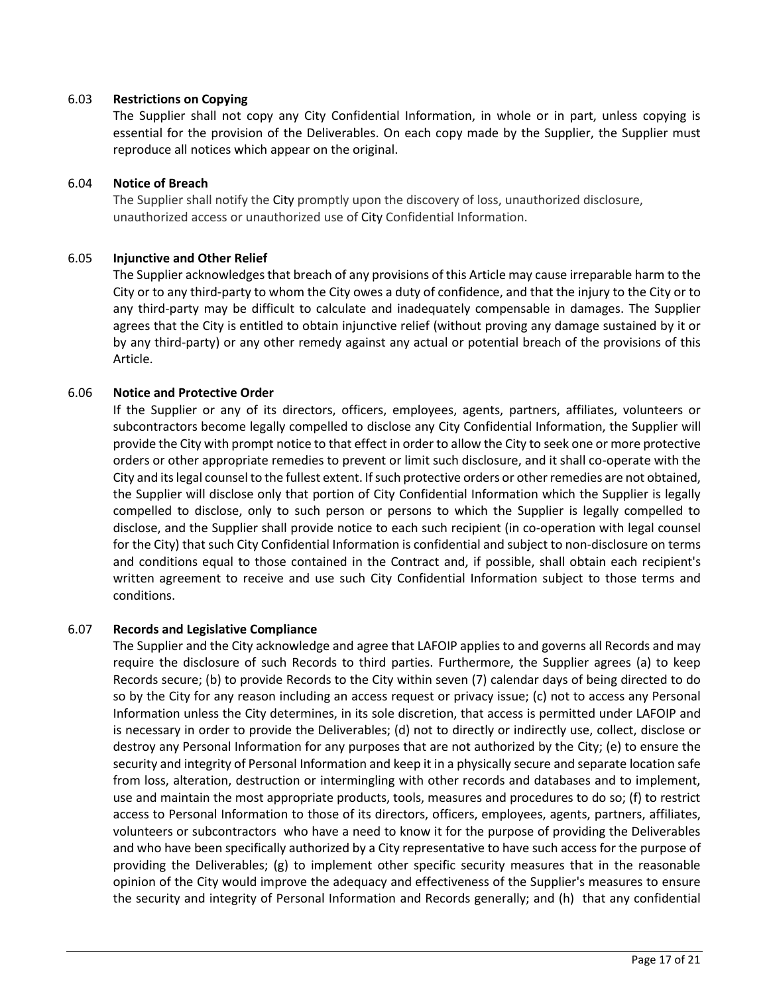## 6.03 **Restrictions on Copying**

The Supplier shall not copy any City Confidential Information, in whole or in part, unless copying is essential for the provision of the Deliverables. On each copy made by the Supplier, the Supplier must reproduce all notices which appear on the original.

### 6.04 **Notice of Breach**

The Supplier shall notify the City promptly upon the discovery of loss, unauthorized disclosure, unauthorized access or unauthorized use of City Confidential Information.

## 6.05 **Injunctive and Other Relief**

The Supplier acknowledges that breach of any provisions of this Article may cause irreparable harm to the City or to any third-party to whom the City owes a duty of confidence, and that the injury to the City or to any third-party may be difficult to calculate and inadequately compensable in damages. The Supplier agrees that the City is entitled to obtain injunctive relief (without proving any damage sustained by it or by any third-party) or any other remedy against any actual or potential breach of the provisions of this Article.

## 6.06 **Notice and Protective Order**

If the Supplier or any of its directors, officers, employees, agents, partners, affiliates, volunteers or subcontractors become legally compelled to disclose any City Confidential Information, the Supplier will provide the City with prompt notice to that effect in order to allow the City to seek one or more protective orders or other appropriate remedies to prevent or limit such disclosure, and it shall co-operate with the City and its legal counsel to the fullest extent. If such protective orders or other remedies are not obtained, the Supplier will disclose only that portion of City Confidential Information which the Supplier is legally compelled to disclose, only to such person or persons to which the Supplier is legally compelled to disclose, and the Supplier shall provide notice to each such recipient (in co-operation with legal counsel for the City) that such City Confidential Information is confidential and subject to non-disclosure on terms and conditions equal to those contained in the Contract and, if possible, shall obtain each recipient's written agreement to receive and use such City Confidential Information subject to those terms and conditions.

## 6.07 **Records and Legislative Compliance**

The Supplier and the City acknowledge and agree that LAFOIP applies to and governs all Records and may require the disclosure of such Records to third parties. Furthermore, the Supplier agrees (a) to keep Records secure; (b) to provide Records to the City within seven (7) calendar days of being directed to do so by the City for any reason including an access request or privacy issue; (c) not to access any Personal Information unless the City determines, in its sole discretion, that access is permitted under LAFOIP and is necessary in order to provide the Deliverables; (d) not to directly or indirectly use, collect, disclose or destroy any Personal Information for any purposes that are not authorized by the City; (e) to ensure the security and integrity of Personal Information and keep it in a physically secure and separate location safe from loss, alteration, destruction or intermingling with other records and databases and to implement, use and maintain the most appropriate products, tools, measures and procedures to do so; (f) to restrict access to Personal Information to those of its directors, officers, employees, agents, partners, affiliates, volunteers or subcontractors who have a need to know it for the purpose of providing the Deliverables and who have been specifically authorized by a City representative to have such access for the purpose of providing the Deliverables; (g) to implement other specific security measures that in the reasonable opinion of the City would improve the adequacy and effectiveness of the Supplier's measures to ensure the security and integrity of Personal Information and Records generally; and (h) that any confidential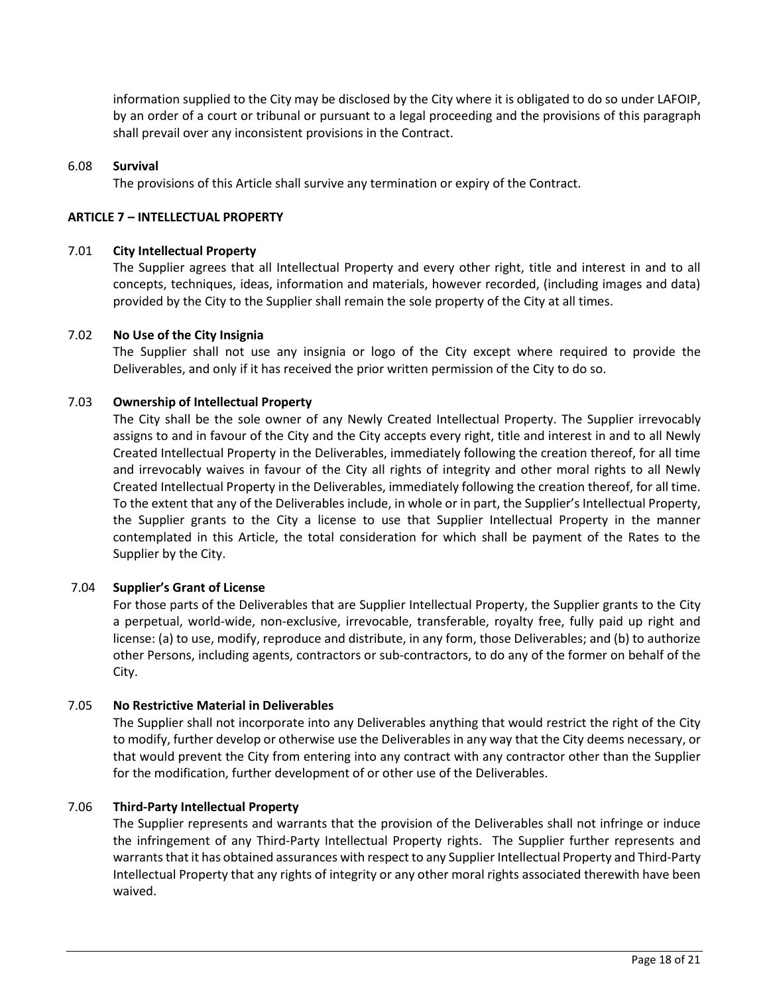information supplied to the City may be disclosed by the City where it is obligated to do so under LAFOIP, by an order of a court or tribunal or pursuant to a legal proceeding and the provisions of this paragraph shall prevail over any inconsistent provisions in the Contract.

### 6.08 **Survival**

The provisions of this Article shall survive any termination or expiry of the Contract.

### **ARTICLE 7 – INTELLECTUAL PROPERTY**

#### 7.01 **City Intellectual Property**

The Supplier agrees that all Intellectual Property and every other right, title and interest in and to all concepts, techniques, ideas, information and materials, however recorded, (including images and data) provided by the City to the Supplier shall remain the sole property of the City at all times.

### 7.02 **No Use of the City Insignia**

The Supplier shall not use any insignia or logo of the City except where required to provide the Deliverables, and only if it has received the prior written permission of the City to do so.

## 7.03 **Ownership of Intellectual Property**

The City shall be the sole owner of any Newly Created Intellectual Property. The Supplier irrevocably assigns to and in favour of the City and the City accepts every right, title and interest in and to all Newly Created Intellectual Property in the Deliverables, immediately following the creation thereof, for all time and irrevocably waives in favour of the City all rights of integrity and other moral rights to all Newly Created Intellectual Property in the Deliverables, immediately following the creation thereof, for all time. To the extent that any of the Deliverables include, in whole or in part, the Supplier's Intellectual Property, the Supplier grants to the City a license to use that Supplier Intellectual Property in the manner contemplated in this Article, the total consideration for which shall be payment of the Rates to the Supplier by the City.

## 7.04 **Supplier's Grant of License**

For those parts of the Deliverables that are Supplier Intellectual Property, the Supplier grants to the City a perpetual, world-wide, non-exclusive, irrevocable, transferable, royalty free, fully paid up right and license: (a) to use, modify, reproduce and distribute, in any form, those Deliverables; and (b) to authorize other Persons, including agents, contractors or sub-contractors, to do any of the former on behalf of the City.

#### 7.05 **No Restrictive Material in Deliverables**

The Supplier shall not incorporate into any Deliverables anything that would restrict the right of the City to modify, further develop or otherwise use the Deliverables in any way that the City deems necessary, or that would prevent the City from entering into any contract with any contractor other than the Supplier for the modification, further development of or other use of the Deliverables.

## 7.06 **Third-Party Intellectual Property**

The Supplier represents and warrants that the provision of the Deliverables shall not infringe or induce the infringement of any Third-Party Intellectual Property rights. The Supplier further represents and warrants that it has obtained assurances with respect to any Supplier Intellectual Property and Third-Party Intellectual Property that any rights of integrity or any other moral rights associated therewith have been waived.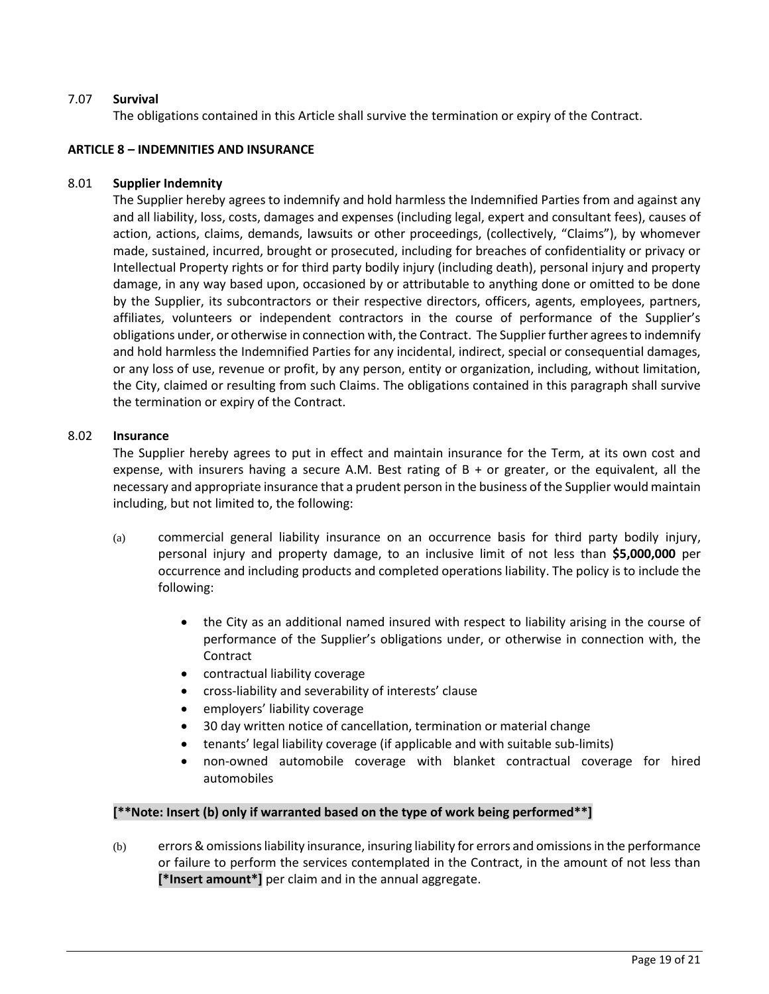## 7.07 **Survival**

The obligations contained in this Article shall survive the termination or expiry of the Contract.

## **ARTICLE 8 – INDEMNITIES AND INSURANCE**

## 8.01 **Supplier Indemnity**

The Supplier hereby agrees to indemnify and hold harmless the Indemnified Parties from and against any and all liability, loss, costs, damages and expenses (including legal, expert and consultant fees), causes of action, actions, claims, demands, lawsuits or other proceedings, (collectively, "Claims"), by whomever made, sustained, incurred, brought or prosecuted, including for breaches of confidentiality or privacy or Intellectual Property rights or for third party bodily injury (including death), personal injury and property damage, in any way based upon, occasioned by or attributable to anything done or omitted to be done by the Supplier, its subcontractors or their respective directors, officers, agents, employees, partners, affiliates, volunteers or independent contractors in the course of performance of the Supplier's obligations under, or otherwise in connection with, the Contract. The Supplier further agrees to indemnify and hold harmless the Indemnified Parties for any incidental, indirect, special or consequential damages, or any loss of use, revenue or profit, by any person, entity or organization, including, without limitation, the City, claimed or resulting from such Claims. The obligations contained in this paragraph shall survive the termination or expiry of the Contract.

### 8.02 **Insurance**

The Supplier hereby agrees to put in effect and maintain insurance for the Term, at its own cost and expense, with insurers having a secure A.M. Best rating of  $B + or$  greater, or the equivalent, all the necessary and appropriate insurance that a prudent person in the business of the Supplier would maintain including, but not limited to, the following:

- (a) commercial general liability insurance on an occurrence basis for third party bodily injury, personal injury and property damage, to an inclusive limit of not less than **\$5,000,000** per occurrence and including products and completed operations liability. The policy is to include the following:
	- the City as an additional named insured with respect to liability arising in the course of performance of the Supplier's obligations under, or otherwise in connection with, the Contract
	- contractual liability coverage
	- cross-liability and severability of interests' clause
	- employers' liability coverage
	- 30 day written notice of cancellation, termination or material change
	- tenants' legal liability coverage (if applicable and with suitable sub-limits)
	- non-owned automobile coverage with blanket contractual coverage for hired automobiles

## **[\*\*Note: Insert (b) only if warranted based on the type of work being performed\*\*]**

(b) errors & omissions liability insurance, insuring liability for errors and omissions in the performance or failure to perform the services contemplated in the Contract, in the amount of not less than **[\*Insert amount\*]** per claim and in the annual aggregate.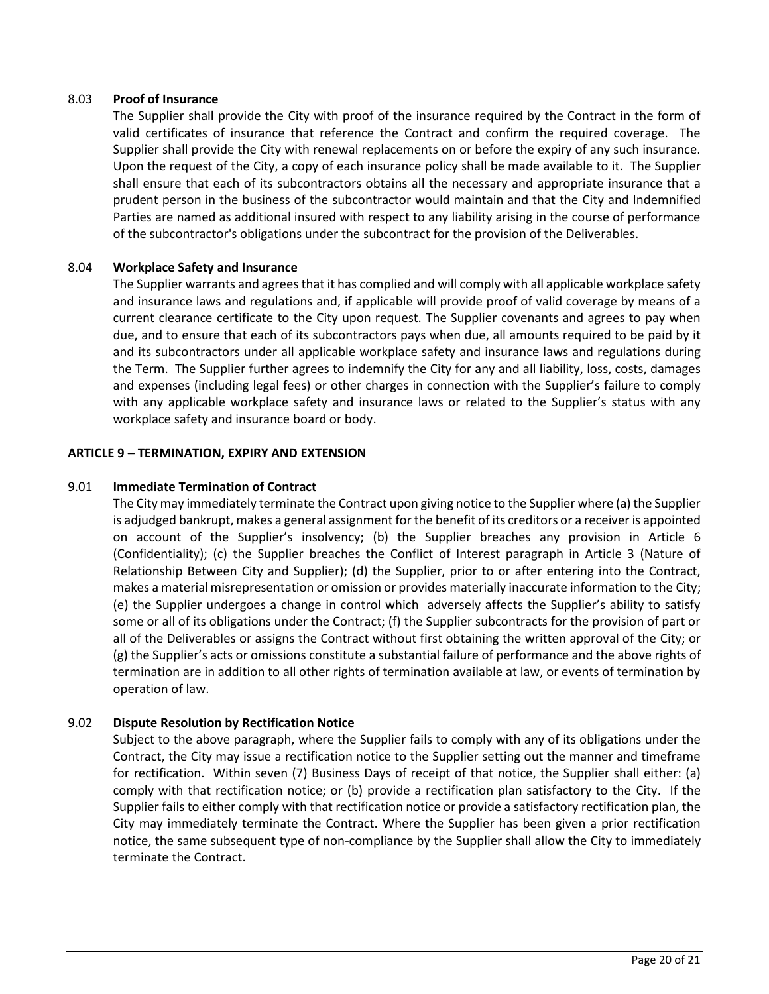### 8.03 **Proof of Insurance**

The Supplier shall provide the City with proof of the insurance required by the Contract in the form of valid certificates of insurance that reference the Contract and confirm the required coverage. The Supplier shall provide the City with renewal replacements on or before the expiry of any such insurance. Upon the request of the City, a copy of each insurance policy shall be made available to it. The Supplier shall ensure that each of its subcontractors obtains all the necessary and appropriate insurance that a prudent person in the business of the subcontractor would maintain and that the City and Indemnified Parties are named as additional insured with respect to any liability arising in the course of performance of the subcontractor's obligations under the subcontract for the provision of the Deliverables.

### 8.04 **Workplace Safety and Insurance**

The Supplier warrants and agrees that it has complied and will comply with all applicable workplace safety and insurance laws and regulations and, if applicable will provide proof of valid coverage by means of a current clearance certificate to the City upon request. The Supplier covenants and agrees to pay when due, and to ensure that each of its subcontractors pays when due, all amounts required to be paid by it and its subcontractors under all applicable workplace safety and insurance laws and regulations during the Term. The Supplier further agrees to indemnify the City for any and all liability, loss, costs, damages and expenses (including legal fees) or other charges in connection with the Supplier's failure to comply with any applicable workplace safety and insurance laws or related to the Supplier's status with any workplace safety and insurance board or body.

### **ARTICLE 9 – TERMINATION, EXPIRY AND EXTENSION**

### 9.01 **Immediate Termination of Contract**

The City may immediately terminate the Contract upon giving notice to the Supplier where (a) the Supplier is adjudged bankrupt, makes a general assignment for the benefit of its creditors or a receiver is appointed on account of the Supplier's insolvency; (b) the Supplier breaches any provision in Article 6 (Confidentiality); (c) the Supplier breaches the Conflict of Interest paragraph in Article 3 (Nature of Relationship Between City and Supplier); (d) the Supplier, prior to or after entering into the Contract, makes a material misrepresentation or omission or provides materially inaccurate information to the City; (e) the Supplier undergoes a change in control which adversely affects the Supplier's ability to satisfy some or all of its obligations under the Contract; (f) the Supplier subcontracts for the provision of part or all of the Deliverables or assigns the Contract without first obtaining the written approval of the City; or (g) the Supplier's acts or omissions constitute a substantial failure of performance and the above rights of termination are in addition to all other rights of termination available at law, or events of termination by operation of law.

## 9.02 **Dispute Resolution by Rectification Notice**

Subject to the above paragraph, where the Supplier fails to comply with any of its obligations under the Contract, the City may issue a rectification notice to the Supplier setting out the manner and timeframe for rectification. Within seven (7) Business Days of receipt of that notice, the Supplier shall either: (a) comply with that rectification notice; or (b) provide a rectification plan satisfactory to the City. If the Supplier fails to either comply with that rectification notice or provide a satisfactory rectification plan, the City may immediately terminate the Contract. Where the Supplier has been given a prior rectification notice, the same subsequent type of non-compliance by the Supplier shall allow the City to immediately terminate the Contract.